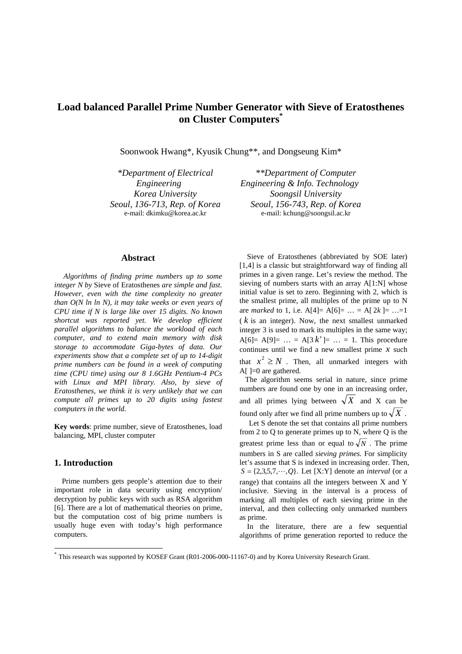# **Load balanced Parallel Prime Number Generator with Sieve of Eratosthenes on Cluster Computers\***

Soonwook Hwang\*, Kyusik Chung\*\*, and Dongseung Kim\*

*\*Department of Electrical Engineering Korea University Seoul, 136-713, Rep. of Korea*  e-mail: dkimku@korea.ac.kr

*\*\*Department of Computer Engineering & Info. Technology Soongsil University Seoul, 156-743, Rep. of Korea*  e-mail: kchung@soongsil.ac.kr

#### **Abstract**

*Algorithms of finding prime numbers up to some integer N by* Sieve of Eratosthenes *are simple and fast. However, even with the time complexity no greater than O(N ln ln N), it may take weeks or even years of CPU time if N is large like over 15 digits. No known shortcut was reported yet. We develop efficient parallel algorithms to balance the workload of each computer, and to extend main memory with disk storage to accommodate Giga-bytes of data. Our experiments show that a complete set of up to 14-digit prime numbers can be found in a week of computing time (CPU time) using our 8 1.6GHz Pentium-4 PCs with Linux and MPI library. Also, by sieve of Eratosthenes, we think it is very unlikely that we can compute all primes up to 20 digits using fastest computers in the world*.

**Key words**: prime number, sieve of Eratosthenes, load balancing, MPI, cluster computer

## **1. Introduction**

1

Prime numbers gets people's attention due to their important role in data security using encryption/ decryption by public keys with such as RSA algorithm [6]. There are a lot of mathematical theories on prime, but the computation cost of big prime numbers is usually huge even with today's high performance computers.

Sieve of Eratosthenes (abbreviated by SOE later) [1,4] is a classic but straightforward way of finding all primes in a given range. Let's review the method. The sieving of numbers starts with an array A[1:N] whose initial value is set to zero. Beginning with 2, which is the smallest prime, all multiples of the prime up to N are *marked* to 1, i.e.  $A[4] = A[6] = ... = A[2k] = ... = 1$  $(k$  is an integer). Now, the next smallest unmarked integer 3 is used to mark its multiples in the same way; A[6]= A[9]= ... = A[3  $k'$ ]= ... = 1. This procedure continues until we find a new smallest prime *x* such that  $x^2 \ge N$ . Then, all unmarked integers with A $[$   $] = 0$  are gathered.

 The algorithm seems serial in nature, since prime numbers are found one by one in an increasing order, and all primes lying between  $\sqrt{X}$  and X can be found only after we find all prime numbers up to  $\sqrt{X}$ .

 Let S denote the set that contains all prime numbers from 2 to Q to generate primes up to N, where Q is the greatest prime less than or equal to  $\sqrt{N}$ . The prime numbers in S are called *sieving primes.* For simplicity let's assume that S is indexed in increasing order. Then,  $S = \{2,3,5,7,\dots,Q\}$ . Let [X:Y] denote an *interval* (or a range) that contains all the integers between X and Y inclusive. Sieving in the interval is a process of marking all multiples of each sieving prime in the interval, and then collecting only unmarked numbers as prime.

In the literature, there are a few sequential algorithms of prime generation reported to reduce the

<sup>\*</sup> This research was supported by KOSEF Grant (R01-2006-000-11167-0) and by Korea University Research Grant.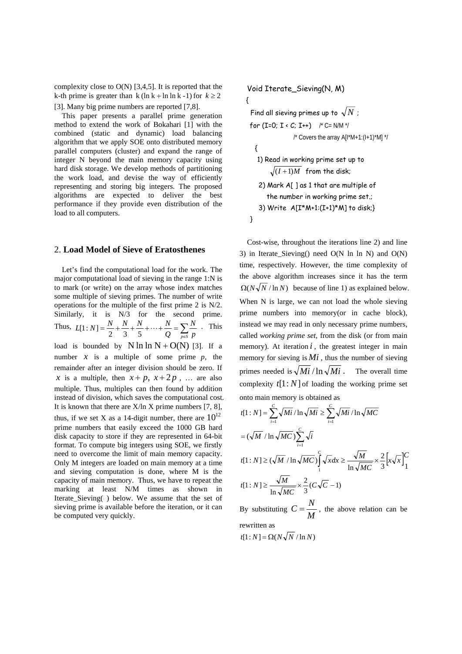complexity close to  $O(N)$  [3,4,5]. It is reported that the k-th prime is greater than k (ln k + ln ln k - 1) for  $k \ge 2$ [3]. Many big prime numbers are reported [7,8].

This paper presents a parallel prime generation method to extend the work of Bokahari [1] with the combined (static and dynamic) load balancing algorithm that we apply SOE onto distributed memory parallel computers (cluster) and expand the range of integer N beyond the main memory capacity using hard disk storage. We develop methods of partitioning the work load, and devise the way of efficiently representing and storing big integers. The proposed algorithms are expected to deliver the best performance if they provide even distribution of the load to all computers.

# 2. **Load Model of Sieve of Eratosthenes**

Let's find the computational load for the work. The major computational load of sieving in the range 1:N is to mark (or write) on the array whose index matches some multiple of sieving primes. The number of write operations for the multiple of the first prime 2 is N/2. Similarly, it is N/3 for the second prime. Thus,  $L[1:N] = \frac{N}{2} + \frac{N}{3} + \frac{N}{5} + \dots + \frac{N}{Q} = \sum_{p \in S} \frac{N}{p}$ *N*  $L[1:N] = \frac{N}{2} + \frac{N}{3} + \frac{N}{5} + \dots + \frac{N}{Q} = \sum_{p \in S} \frac{N}{p}$ . This load is bounded by  $N \ln \ln N + O(N)$  [3]. If a number  $x$  is a multiple of some prime  $p$ , the remainder after an integer division should be zero. If *x* is a multiple, then  $x + p$ ,  $x + 2p$ , ... are also multiple. Thus, multiples can then found by addition instead of division, which saves the computational cost. It is known that there are  $X/\ln X$  prime numbers [7, 8], thus, if we set X as a 14-digit number, there are  $10^{12}$ prime numbers that easily exceed the 1000 GB hard disk capacity to store if they are represented in 64-bit format. To compute big integers using SOE, we firstly need to overcome the limit of main memory capacity. Only M integers are loaded on main memory at a time and sieving computation is done, where M is the capacity of main memory. Thus, we have to repeat the marking at least N/M times as shown in Iterate\_Sieving( ) below. We assume that the set of sieving prime is available before the iteration, or it can be computed very quickly.

Void Iterate\_Sieving(N, M) { Find all sieving primes up to  $\sqrt{N}$  ; for  $(I=0; I \cdot C; I++)$  /\* C= N/M \*/ /\* Covers the array A[I\*M+1:(I+1)\*M] \*/ { 1) Read in working prime set up to  $\sqrt{(I+1)M}$  from the disk; 2) Mark A[ ] as 1 that are multiple of the number in working prime set.; 3) Write  $A[I^*M+1:(I+1)^*M]$  to disk;} }

Cost-wise, throughout the iterations line 2) and line 3) in Iterate\_Sieving() need O(N ln ln N) and O(N) time, respectively. However, the time complexity of the above algorithm increases since it has the term  $\Omega(N\sqrt{N}/\ln N)$  because of line 1) as explained below. When N is large, we can not load the whole sieving prime numbers into memory(or in cache block), instead we may read in only necessary prime numbers, called *working prime set,* from the disk (or from main memory). At iteration  $i$ , the greatest integer in main memory for sieving is  $Mi$ , thus the number of sieving primes needed is  $\sqrt{Mi}/\ln \sqrt{Mi}$ . The overall time complexity  $t[1:N]$  of loading the working prime set onto main memory is obtained as

$$
t[1:N] = \sum_{i=1}^{C} \sqrt{Mi}/\ln\sqrt{Mi} \ge \sum_{i=1}^{C} \sqrt{Mi}/\ln\sqrt{MC}
$$
  
\n
$$
= (\sqrt{M}/\ln\sqrt{MC})\sum_{i=1}^{C} \sqrt{i}
$$
  
\n
$$
t[1:N] \ge (\sqrt{M}/\ln\sqrt{MC})\int_{1}^{C} \sqrt{x} dx \ge \frac{\sqrt{M}}{\ln\sqrt{MC}} \times \frac{2}{3} \left[x\sqrt{x}\right]_{1}^{C}
$$
  
\n
$$
t[1:N] \ge \frac{\sqrt{M}}{\ln\sqrt{MC}} \times \frac{2}{3} (C\sqrt{C} - 1)
$$

By substituting  $C = \frac{N}{M}$  $C = \frac{N}{N}$ , the above relation can be rewritten as

$$
t[1:N] = \Omega(N\sqrt{N}/\ln N)
$$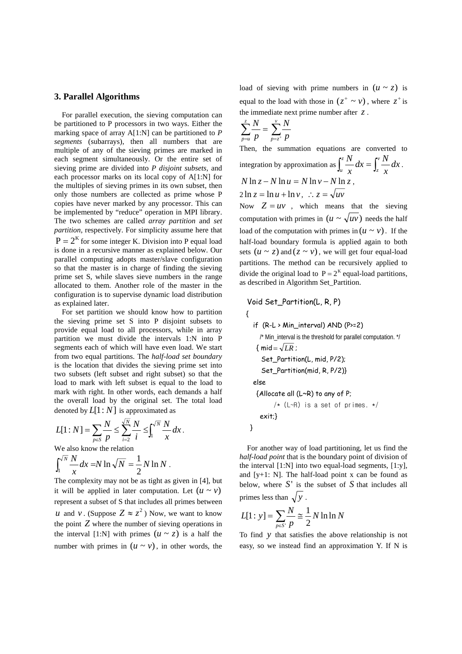#### **3. Parallel Algorithms**

For parallel execution, the sieving computation can be partitioned to P processors in two ways. Either the marking space of array A[1:N] can be partitioned to *P segments* (subarrays), then all numbers that are multiple of any of the sieving primes are marked in each segment simultaneously. Or the entire set of sieving prime are divided into *P disjoint subsets*, and each processor marks on its local copy of A[1:N] for the multiples of sieving primes in its own subset, then only those numbers are collected as prime whose P copies have never marked by any processor. This can be implemented by "reduce" operation in MPI library. The two schemes are called *array partition* and *set partition*, respectively. For simplicity assume here that  $P = 2<sup>K</sup>$  for some integer K. Division into P equal load is done in a recursive manner as explained below. Our parallel computing adopts master/slave configuration so that the master is in charge of finding the sieving prime set S, while slaves sieve numbers in the range allocated to them. Another role of the master in the configuration is to supervise dynamic load distribution as explained later.

For set partition we should know how to partition the sieving prime set S into P disjoint subsets to provide equal load to all processors, while in array partition we must divide the intervals 1:N into P segments each of which will have even load. We start from two equal partitions. The *half-load set boundary* is the location that divides the sieving prime set into two subsets (left subset and right subset) so that the load to mark with left subset is equal to the load to mark with right. In other words, each demands a half the overall load by the original set. The total load denoted by *L*[1: *N*] is approximated as

$$
L[1:N] = \sum_{p \in S} \frac{N}{p} \le \sum_{i=2}^{\sqrt{N}} \frac{N}{i} \le \int_1^{\sqrt{N}} \frac{N}{x} dx.
$$

We also know the relation

$$
\int_1^{\sqrt{N}} \frac{N}{x} dx = N \ln \sqrt{N} = \frac{1}{2} N \ln N.
$$

The complexity may not be as tight as given in [4], but it will be applied in later computation. Let  $(u \sim v)$ represent a subset of S that includes all primes between *u* and *v*. (Suppose  $Z \approx z^2$ ) Now, we want to know the point  $Z$  where the number of sieving operations in the interval [1:N] with primes  $(u \sim z)$  is a half the number with primes in  $(u \sim v)$ , in other words, the load of sieving with prime numbers in  $(u \sim z)$  is equal to the load with those in  $(z^+ \sim v)$ , where  $z^+$  is the immediate next prime number after *z* .

$$
\sum_{p=u}^{z} \frac{N}{p} = \sum_{p=z^+}^{v} \frac{N}{p}
$$

Then, the summation equations are converted to integration by approximation as  $\int_{u}^{z} \frac{N}{x} dx = \int_{v}^{z}$  $\int_{z}^{v} \frac{N}{x} dx$  $dx = \int^{\nu} \frac{N}{\tau}$ *x*  $\frac{N}{2}dx = \int^{\nu} \frac{N}{2}dx$ .  $N \ln z - N \ln u = N \ln v - N \ln z$ ,  $2 \ln z = \ln u + \ln v$ , ∴  $z = \sqrt{uv}$ Now  $Z = uv$ , which means that the sieving computation with primes in  $(u \sim \sqrt{uv})$  needs the half load of the computation with primes in  $(u \sim v)$ . If the half-load boundary formula is applied again to both

sets  $(u \sim z)$  and  $(z \sim v)$ , we will get four equal-load partitions. The method can be recursively applied to divide the original load to  $P = 2<sup>K</sup>$  equal-load partitions, as described in Algorithm Set\_Partition.

$$
void Set\_Partition(L, R, P)
$$

{ if (R-L > Min\_interval) AND (P>=2)  $\prime$ \* Min interval is the threshold for parallel computation.  $\prime$ /  ${ \nvert \text{mid} = \sqrt{LR}}$ Set\_Partition(L, mid, P/2); Set\_Partition(mid, R, P/2)} else {Allocate all (L~R) to any of P; /\* (L~R) is a set of primes.  $*/$ exit;} }

For another way of load partitioning, let us find the *half-load point* that is the boundary point of division of the interval [1:N] into two equal-load segments, [1:y], and  $[y+1: N]$ . The half-load point x can be found as below, where *S*' is the subset of *S* that includes all primes less than  $\sqrt{y}$ .

$$
L[1:y] = \sum_{p \in S'} \frac{N}{p} \cong \frac{1}{2} N \ln \ln N
$$

To find *y* that satisfies the above relationship is not easy, so we instead find an approximation Y. If N is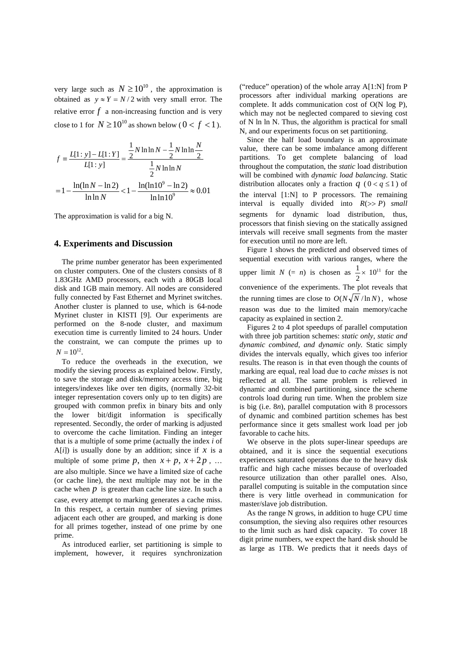very large such as  $N \ge 10^{10}$ , the approximation is obtained as  $y \approx Y = N/2$  with very small error. The relative error  $f$  a non-increasing function and is very close to 1 for  $N \ge 10^{10}$  as shown below (  $0 < f < 1$  ).

$$
f = \frac{L[1: y] - L[1: Y]}{L[1: y]} = \frac{\frac{1}{2} N \ln \ln N - \frac{1}{2} N \ln \ln \frac{N}{2}}{\frac{1}{2} N \ln \ln N}
$$

$$
= 1 - \frac{\ln(\ln N - \ln 2)}{\ln \ln N} < 1 - \frac{\ln(\ln 10^{\circ} - \ln 2)}{\ln \ln 10^{\circ}} \approx 0.01
$$

The approximation is valid for a big N.

#### **4. Experiments and Discussion**

The prime number generator has been experimented on cluster computers. One of the clusters consists of 8 1.83GHz AMD processors, each with a 80GB local disk and 1GB main memory. All nodes are considered fully connected by Fast Ethernet and Myrinet switches. Another cluster is planned to use, which is 64-node Myrinet cluster in KISTI [9]. Our experiments are performed on the 8-node cluster, and maximum execution time is currently limited to 24 hours. Under the constraint, we can compute the primes up to  $N = 10^{12}$ 

To reduce the overheads in the execution, we modify the sieving process as explained below. Firstly, to save the storage and disk/memory access time, big integers/indexes like over ten digits, (normally 32-bit integer representation covers only up to ten digits) are grouped with common prefix in binary bits and only the lower bit/digit information is specifically represented. Secondly, the order of marking is adjusted to overcome the cache limitation. Finding an integer that is a multiple of some prime (actually the index *i* of A[ $i$ ]) is usually done by an addition; since if  $x$  is a multiple of some prime *p*, then  $x + p$ ,  $x + 2p$ , ... are also multiple. Since we have a limited size of cache (or cache line), the next multiple may not be in the cache when  $p$  is greater than cache line size. In such a case, every attempt to marking generates a cache miss. In this respect, a certain number of sieving primes adjacent each other are grouped, and marking is done for all primes together, instead of one prime by one prime.

As introduced earlier, set partitioning is simple to implement, however, it requires synchronization ("reduce" operation) of the whole array A[1:N] from P processors after individual marking operations are complete. It adds communication cost of O(N log P), which may not be neglected compared to sieving cost of N ln ln N. Thus, the algorithm is practical for small N, and our experiments focus on set partitioning.

Since the half load boundary is an approximate value, there can be some imbalance among different partitions. To get complete balancing of load throughout the computation, the *static* load distribution will be combined with *dynamic load balancing*. Static distribution allocates only a fraction  $q$  ( $0 < q \le 1$ ) of the interval [1:N] to P processors. The remaining interval is equally divided into  $R \gg P$  *small* segments for dynamic load distribution, thus, processors that finish sieving on the statically assigned intervals will receive small segments from the master for execution until no more are left.

Figure 1 shows the predicted and observed times of sequential execution with various ranges, where the upper limit *N* (= *n*) is chosen as  $\frac{1}{2} \times 10^{11}$  for the convenience of the experiments. The plot reveals that the running times are close to  $O(N\sqrt{N}/\ln N)$ , whose reason was due to the limited main memory/cache capacity as explained in section 2.

Figures 2 to 4 plot speedups of parallel computation with three job partition schemes: *static only, static and dynamic combined, and dynamic only.* Static simply divides the intervals equally, which gives too inferior results. The reason is in that even though the counts of marking are equal, real load due to *cache misses* is not reflected at all. The same problem is relieved in dynamic and combined partitioning, since the scheme controls load during run time. When the problem size is big (i.e. 8*n*), parallel computation with 8 processors of dynamic and combined partition schemes has best performance since it gets smallest work load per job favorable to cache hits.

We observe in the plots super-linear speedups are obtained, and it is since the sequential executions experiences saturated operations due to the heavy disk traffic and high cache misses because of overloaded resource utilization than other parallel ones. Also, parallel computing is suitable in the computation since there is very little overhead in communication for master/slave job distribution.

As the range N grows, in addition to huge CPU time consumption, the sieving also requires other resources to the limit such as hard disk capacity. To cover 18 digit prime numbers, we expect the hard disk should be as large as 1TB. We predicts that it needs days of